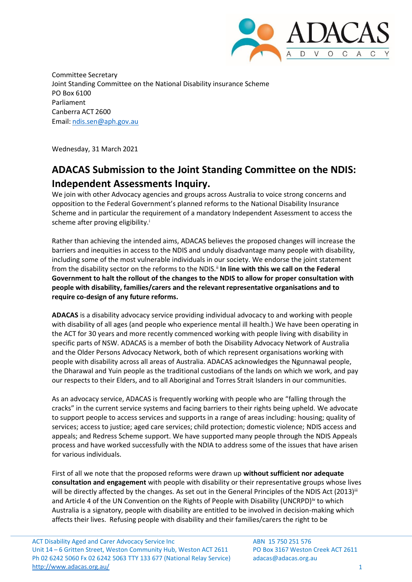

Committee Secretary Joint Standing Committee on the National Disability insurance Scheme PO Box 6100 Parliament Canberra ACT 2600 Email: [ndis.sen@aph.gov.au](mailto:ndis.sen@aph.gov.au)

Wednesday, 31 March 2021

## **ADACAS Submission to the Joint Standing Committee on the NDIS: Independent Assessments Inquiry.**

We join with other Advocacy agencies and groups across Australia to voice strong concerns and opposition to the Federal Government's planned reforms to the National Disability Insurance Scheme and in particular the requirement of a mandatory Independent Assessment to access the scheme after proving eligibility.<sup>i</sup>

Rather than achieving the intended aims, ADACAS believes the proposed changes will increase the barriers and inequities in access to the NDIS and unduly disadvantage many people with disability, including some of the most vulnerable individuals in our society. We endorse the joint statement from the disability sector on the reforms to the NDIS.ii **In line with this we call on the Federal Government to halt the rollout of the changes to the NDIS to allow for proper consultation with people with disability, families/carers and the relevant representative organisations and to require co-design of any future reforms.**

**ADACAS** is a disability advocacy service providing individual advocacy to and working with people with disability of all ages (and people who experience mental ill health.) We have been operating in the ACT for 30 years and more recently commenced working with people living with disability in specific parts of NSW. ADACAS is a member of both the Disability Advocacy Network of Australia and the Older Persons Advocacy Network, both of which represent organisations working with people with disability across all areas of Australia. ADACAS acknowledges the Ngunnawal people, the Dharawal and Yuin people as the traditional custodians of the lands on which we work, and pay our respects to their Elders, and to all Aboriginal and Torres Strait Islanders in our communities.

As an advocacy service, ADACAS is frequently working with people who are "falling through the cracks" in the current service systems and facing barriers to their rights being upheld. We advocate to support people to access services and supports in a range of areas including: housing; quality of services; access to justice; aged care services; child protection; domestic violence; NDIS access and appeals; and Redress Scheme support. We have supported many people through the NDIS Appeals process and have worked successfully with the NDIA to address some of the issues that have arisen for various individuals.

First of all we note that the proposed reforms were drawn up **without sufficient nor adequate consultation and engagement** with people with disability or their representative groups whose lives will be directly affected by the changes. As set out in the General Principles of the NDIS Act (2013)<sup>iii</sup> and Article 4 of the UN Convention on the Rights of People with Disability (UNCRPD)<sup>iv</sup> to which Australia is a signatory, people with disability are entitled to be involved in decision-making which affects their lives. Refusing people with disability and their families/carers the right to be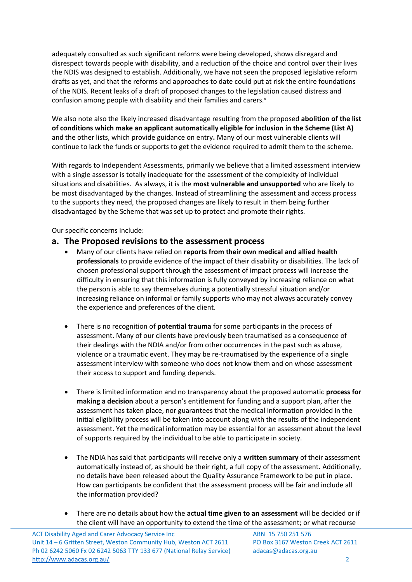adequately consulted as such significant reforns were being developed, shows disregard and disrespect towards people with disability, and a reduction of the choice and control over their lives the NDIS was designed to establish. Additionally, we have not seen the proposed legislative reform drafts as yet, and that the reforms and approaches to date could put at risk the entire foundations of the NDIS. Recent leaks of a draft of proposed changes to the legislation caused distress and confusion among people with disability and their families and carers.<sup>v</sup>

We also note also the likely increased disadvantage resulting from the proposed **abolition of the list of conditions which make an applicant automatically eligible for inclusion in the Scheme (List A)** and the other lists, which provide guidance on entry**.** Many of our most vulnerable clients will continue to lack the funds or supports to get the evidence required to admit them to the scheme.

With regards to Independent Assessments, primarily we believe that a limited assessment interview with a single assessor is totally inadequate for the assessment of the complexity of individual situations and disabilities. As always, it is the **most vulnerable and unsupported** who are likely to be most disadvantaged by the changes. Instead of streamlining the assessment and access process to the supports they need, the proposed changes are likely to result in them being further disadvantaged by the Scheme that was set up to protect and promote their rights.

Our specific concerns include:

## **a. The Proposed revisions to the assessment process**

- Many of our clients have relied on **reports from their own medical and allied health professionals** to provide evidence of the impact of their disability or disabilities. The lack of chosen professional support through the assessment of impact process will increase the difficulty in ensuring that this information is fully conveyed by increasing reliance on what the person is able to say themselves during a potentially stressful situation and/or increasing reliance on informal or family supports who may not always accurately convey the experience and preferences of the client.
- There is no recognition of **potential trauma** for some participants in the process of assessment. Many of our clients have previously been traumatised as a consequence of their dealings with the NDIA and/or from other occurrences in the past such as abuse, violence or a traumatic event. They may be re-traumatised by the experience of a single assessment interview with someone who does not know them and on whose assessment their access to support and funding depends.
- There is limited information and no transparency about the proposed automatic **process for making a decision** about a person's entitlement for funding and a support plan, after the assessment has taken place, nor guarantees that the medical information provided in the initial eligibility process will be taken into account along with the results of the independent assessment. Yet the medical information may be essential for an assessment about the level of supports required by the individual to be able to participate in society.
- The NDIA has said that participants will receive only a **written summary** of their assessment automatically instead of, as should be their right, a full copy of the assessment. Additionally, no details have been released about the Quality Assurance Framework to be put in place. How can participants be confident that the assessment process will be fair and include all the information provided?
- There are no details about how the **actual time given to an assessment** will be decided or if the client will have an opportunity to extend the time of the assessment; or what recourse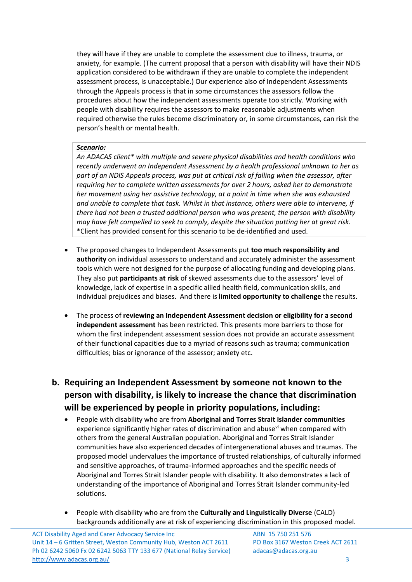they will have if they are unable to complete the assessment due to illness, trauma, or anxiety, for example. (The current proposal that a person with disability will have their NDIS application considered to be withdrawn if they are unable to complete the independent assessment process, is unacceptable.) Our experience also of Independent Assessments through the Appeals process is that in some circumstances the assessors follow the procedures about how the independent assessments operate too strictly*.* Working with people with disability requires the assessors to make reasonable adjustments when required otherwise the rules become discriminatory or, in some circumstances, can risk the person's health or mental health.

## *Scenario:*

*An ADACAS client\* with multiple and severe physical disabilities and health conditions who recently underwent an Independent Assessment by a health professional unknown to her as part of an NDIS Appeals process, was put at critical risk of falling when the assessor, after requiring her to complete written assessments for over 2 hours, asked her to demonstrate her movement using her assistive technology, at a point in time when she was exhausted and unable to complete that task. Whilst in that instance, others were able to intervene, if there had not been a trusted additional person who was present, the person with disability may have felt compelled to seek to comply, despite the situation putting her at great risk.* \*Client has provided consent for this scenario to be de-identified and used.

- The proposed changes to Independent Assessments put **too much responsibility and authority** on individual assessors to understand and accurately administer the assessment tools which were not designed for the purpose of allocating funding and developing plans. They also put **participants at risk** of skewed assessments due to the assessors' level of knowledge, lack of expertise in a specific allied health field, communication skills, and individual prejudices and biases. And there is **limited opportunity to challenge** the results.
- The process of **reviewing an Independent Assessment decision or eligibility for a second independent assessment** has been restricted. This presents more barriers to those for whom the first independent assessment session does not provide an accurate assessment of their functional capacities due to a myriad of reasons such as trauma; communication difficulties; bias or ignorance of the assessor; anxiety etc.

## **b. Requiring an Independent Assessment by someone not known to the person with disability, is likely to increase the chance that discrimination will be experienced by people in priority populations, including:**

- People with disability who are from **Aboriginal and Torres Strait Islander communities** experience significantly higher rates of discrimination and abuse $\theta$  when compared with others from the general Australian population. Aboriginal and Torres Strait Islander communities have also experienced decades of intergenerational abuses and traumas. The proposed model undervalues the importance of trusted relationships, of culturally informed and sensitive approaches, of trauma-informed approaches and the specific needs of Aboriginal and Torres Strait Islander people with disability. It also demonstrates a lack of understanding of the importance of Aboriginal and Torres Strait Islander community-led solutions.
- People with disability who are from the **Culturally and Linguistically Diverse** (CALD) backgrounds additionally are at risk of experiencing discrimination in this proposed model.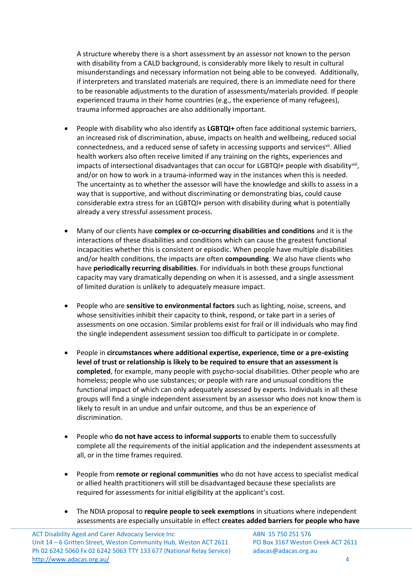A structure whereby there is a short assessment by an assessor not known to the person with disability from a CALD background, is considerably more likely to result in cultural misunderstandings and necessary information not being able to be conveyed. Additionally, if interpreters and translated materials are required, there is an immediate need for there to be reasonable adjustments to the duration of assessments/materials provided. If people experienced trauma in their home countries (e.g., the experience of many refugees), trauma informed approaches are also additionally important.

- People with disability who also identify as **LGBTQI+** often face additional systemic barriers, an increased risk of discrimination, abuse, impacts on health and wellbeing, reduced social connectedness, and a reduced sense of safety in accessing supports and servicesvil. Allied health workers also often receive limited if any training on the rights, experiences and impacts of intersectional disadvantages that can occur for LGBTQI+ people with disabilityviii, and/or on how to work in a trauma-informed way in the instances when this is needed. The uncertainty as to whether the assessor will have the knowledge and skills to assess in a way that is supportive, and without discriminating or demonstrating bias, could cause considerable extra stress for an LGBTQI+ person with disability during what is potentially already a very stressful assessment process.
- Many of our clients have **complex or co-occurring disabilities and conditions** and it is the interactions of these disabilities and conditions which can cause the greatest functional incapacities whether this is consistent or episodic. When people have multiple disabilities and/or health conditions, the impacts are often **compounding**. We also have clients who have **periodically recurring disabilities**. For individuals in both these groups functional capacity may vary dramatically depending on when it is assessed, and a single assessment of limited duration is unlikely to adequately measure impact.
- People who are **sensitive to environmental factors** such as lighting, noise, screens, and whose sensitivities inhibit their capacity to think, respond, or take part in a series of assessments on one occasion. Similar problems exist for frail or ill individuals who may find the single independent assessment session too difficult to participate in or complete.
- People in **circumstances where additional expertise, experience, time or a pre-existing level of trust or relationship is likely to be required to ensure that an assessment is completed**, for example, many people with psycho-social disabilities. Other people who are homeless; people who use substances; or people with rare and unusual conditions the functional impact of which can only adequately assessed by experts. Individuals in all these groups will find a single independent assessment by an assessor who does not know them is likely to result in an undue and unfair outcome, and thus be an experience of discrimination.
- People who **do not have access to informal supports** to enable them to successfully complete all the requirements of the initial application and the independent assessments at all, or in the time frames required.
- People from **remote or regional communities** who do not have access to specialist medical or allied health practitioners will still be disadvantaged because these specialists are required for assessments for initial eligibility at the applicant's cost.
- The NDIA proposal to **require people to seek exemptions** in situations where independent assessments are especially unsuitable in effect **creates added barriers for people who have**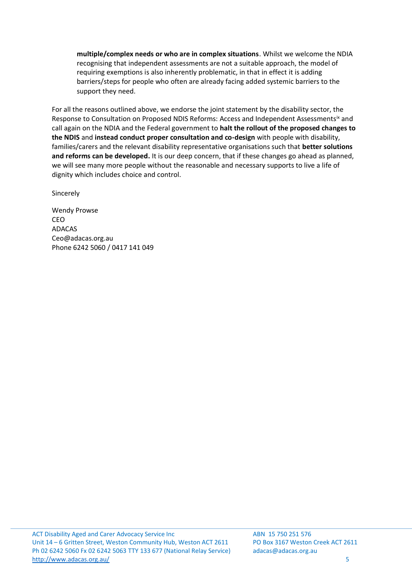**multiple/complex needs or who are in complex situations**. Whilst we welcome the NDIA recognising that independent assessments are not a suitable approach, the model of requiring exemptions is also inherently problematic, in that in effect it is adding barriers/steps for people who often are already facing added systemic barriers to the support they need.

For all the reasons outlined above, we endorse the joint statement by the disability sector, the Response to Consultation on Proposed NDIS Reforms: Access and Independent Assessments<sup>ix</sup> and call again on the NDIA and the Federal government to **halt the rollout of the proposed changes to the NDIS** and **instead conduct proper consultation and co-design** with people with disability, families/carers and the relevant disability representative organisations such that **better solutions and reforms can be developed.** It is our deep concern, that if these changes go ahead as planned, we will see many more people without the reasonable and necessary supports to live a life of dignity which includes choice and control.

Sincerely

Wendy Prowse CEO ADACAS [Ceo@adacas.org.au](mailto:Ceo@adacas.org.au) Phone 6242 5060 / 0417 141 049